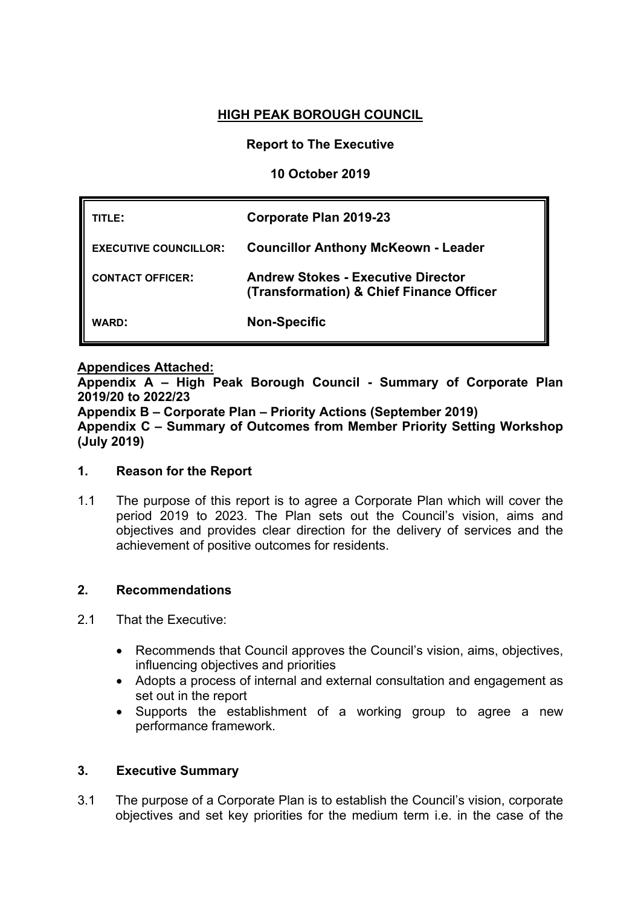# **HIGH PEAK BOROUGH COUNCIL**

## **Report to The Executive**

## **10 October 2019**

| TITLE:                       | Corporate Plan 2019-23                                                                |
|------------------------------|---------------------------------------------------------------------------------------|
| <b>EXECUTIVE COUNCILLOR:</b> | <b>Councillor Anthony McKeown - Leader</b>                                            |
| <b>CONTACT OFFICER:</b>      | <b>Andrew Stokes - Executive Director</b><br>(Transformation) & Chief Finance Officer |
| <b>WARD:</b>                 | <b>Non-Specific</b>                                                                   |

### **Appendices Attached:**

**Appendix A – High Peak Borough Council - Summary of Corporate Plan 2019/20 to 2022/23 Appendix B – Corporate Plan – Priority Actions (September 2019)**

**Appendix C – Summary of Outcomes from Member Priority Setting Workshop (July 2019)**

## **1. Reason for the Report**

1.1 The purpose of this report is to agree a Corporate Plan which will cover the period 2019 to 2023. The Plan sets out the Council's vision, aims and objectives and provides clear direction for the delivery of services and the achievement of positive outcomes for residents.

#### **2. Recommendations**

- 2.1 That the Executive:
	- Recommends that Council approves the Council's vision, aims, objectives, influencing objectives and priorities
	- Adopts a process of internal and external consultation and engagement as set out in the report
	- Supports the establishment of a working group to agree a new performance framework.

## **3. Executive Summary**

3.1 The purpose of a Corporate Plan is to establish the Council's vision, corporate objectives and set key priorities for the medium term i.e. in the case of the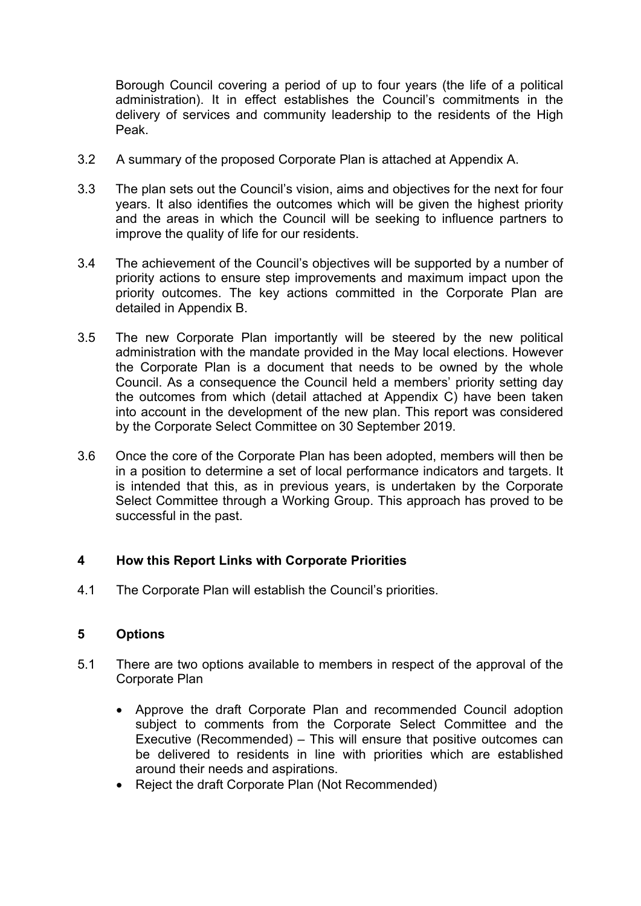Borough Council covering a period of up to four years (the life of a political administration). It in effect establishes the Council's commitments in the delivery of services and community leadership to the residents of the High Peak.

- 3.2 A summary of the proposed Corporate Plan is attached at Appendix A.
- 3.3 The plan sets out the Council's vision, aims and objectives for the next for four years. It also identifies the outcomes which will be given the highest priority and the areas in which the Council will be seeking to influence partners to improve the quality of life for our residents.
- 3.4 The achievement of the Council's objectives will be supported by a number of priority actions to ensure step improvements and maximum impact upon the priority outcomes. The key actions committed in the Corporate Plan are detailed in Appendix B.
- 3.5 The new Corporate Plan importantly will be steered by the new political administration with the mandate provided in the May local elections. However the Corporate Plan is a document that needs to be owned by the whole Council. As a consequence the Council held a members' priority setting day the outcomes from which (detail attached at Appendix C) have been taken into account in the development of the new plan. This report was considered by the Corporate Select Committee on 30 September 2019.
- 3.6 Once the core of the Corporate Plan has been adopted, members will then be in a position to determine a set of local performance indicators and targets. It is intended that this, as in previous years, is undertaken by the Corporate Select Committee through a Working Group. This approach has proved to be successful in the past.

## **4 How this Report Links with Corporate Priorities**

4.1 The Corporate Plan will establish the Council's priorities.

## **5 Options**

- 5.1 There are two options available to members in respect of the approval of the Corporate Plan
	- Approve the draft Corporate Plan and recommended Council adoption subject to comments from the Corporate Select Committee and the Executive (Recommended) – This will ensure that positive outcomes can be delivered to residents in line with priorities which are established around their needs and aspirations.
	- Reject the draft Corporate Plan (Not Recommended)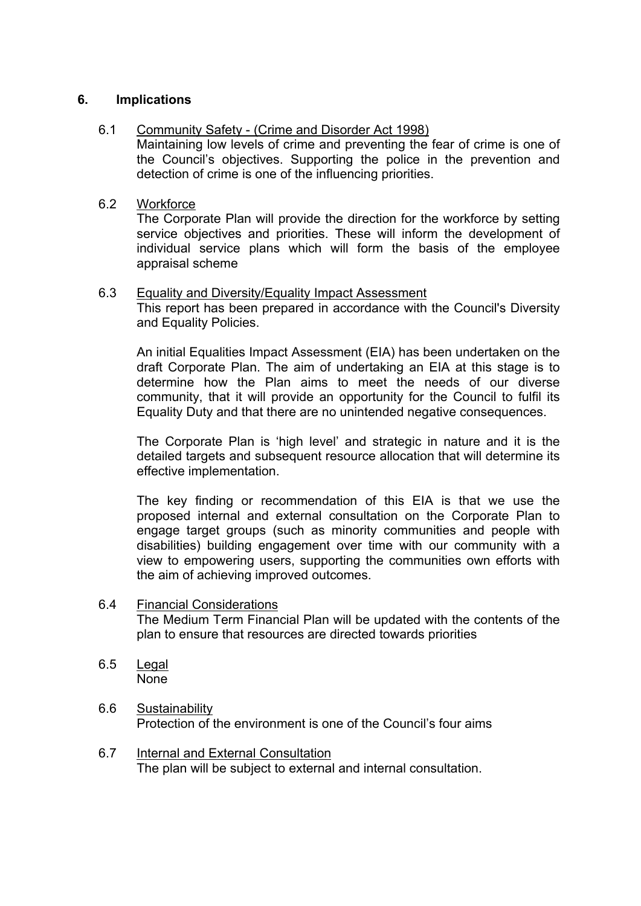## **6. Implications**

## 6.1 Community Safety - (Crime and Disorder Act 1998)

Maintaining low levels of crime and preventing the fear of crime is one of the Council's objectives. Supporting the police in the prevention and detection of crime is one of the influencing priorities.

#### 6.2 Workforce

The Corporate Plan will provide the direction for the workforce by setting service objectives and priorities. These will inform the development of individual service plans which will form the basis of the employee appraisal scheme

#### 6.3 Equality and Diversity/Equality Impact Assessment

This report has been prepared in accordance with the Council's Diversity and Equality Policies.

An initial Equalities Impact Assessment (EIA) has been undertaken on the draft Corporate Plan. The aim of undertaking an EIA at this stage is to determine how the Plan aims to meet the needs of our diverse community, that it will provide an opportunity for the Council to fulfil its Equality Duty and that there are no unintended negative consequences.

The Corporate Plan is 'high level' and strategic in nature and it is the detailed targets and subsequent resource allocation that will determine its effective implementation.

The key finding or recommendation of this EIA is that we use the proposed internal and external consultation on the Corporate Plan to engage target groups (such as minority communities and people with disabilities) building engagement over time with our community with a view to empowering users, supporting the communities own efforts with the aim of achieving improved outcomes.

- 6.4 Financial Considerations The Medium Term Financial Plan will be updated with the contents of the plan to ensure that resources are directed towards priorities
- 6.5 Legal None
- 6.6 Sustainability Protection of the environment is one of the Council's four aims
- 6.7 Internal and External Consultation The plan will be subject to external and internal consultation.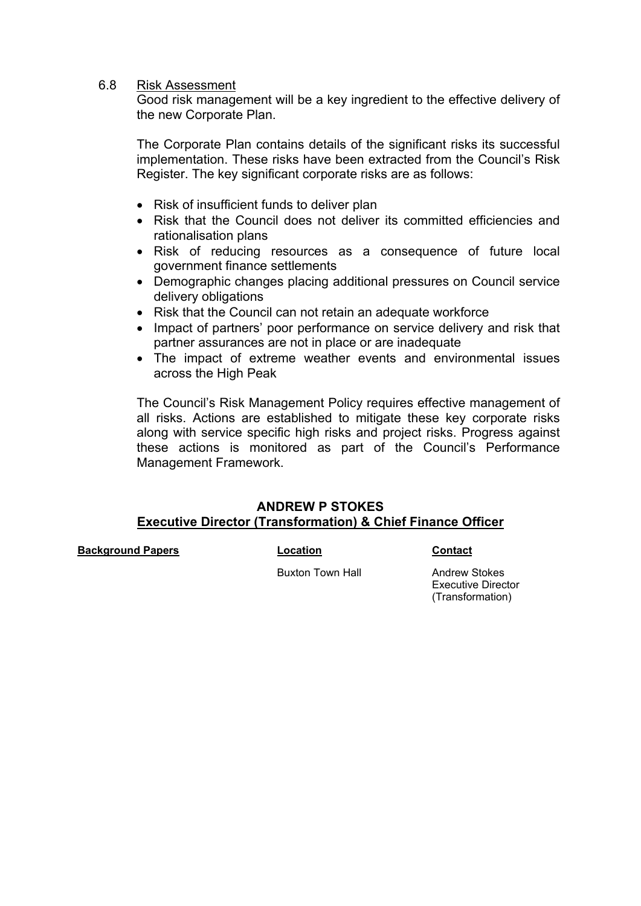#### 6.8 Risk Assessment

Good risk management will be a key ingredient to the effective delivery of the new Corporate Plan.

The Corporate Plan contains details of the significant risks its successful implementation. These risks have been extracted from the Council's Risk Register. The key significant corporate risks are as follows:

- Risk of insufficient funds to deliver plan
- Risk that the Council does not deliver its committed efficiencies and rationalisation plans
- Risk of reducing resources as a consequence of future local government finance settlements
- Demographic changes placing additional pressures on Council service delivery obligations
- Risk that the Council can not retain an adequate workforce
- Impact of partners' poor performance on service delivery and risk that partner assurances are not in place or are inadequate
- The impact of extreme weather events and environmental issues across the High Peak

The Council's Risk Management Policy requires effective management of all risks. Actions are established to mitigate these key corporate risks along with service specific high risks and project risks. Progress against these actions is monitored as part of the Council's Performance Management Framework.

# **ANDREW P STOKES Executive Director (Transformation) & Chief Finance Officer**

**Background Papers Location Contact**

Buxton Town Hall **Andrew Stokes** 

Executive Director (Transformation)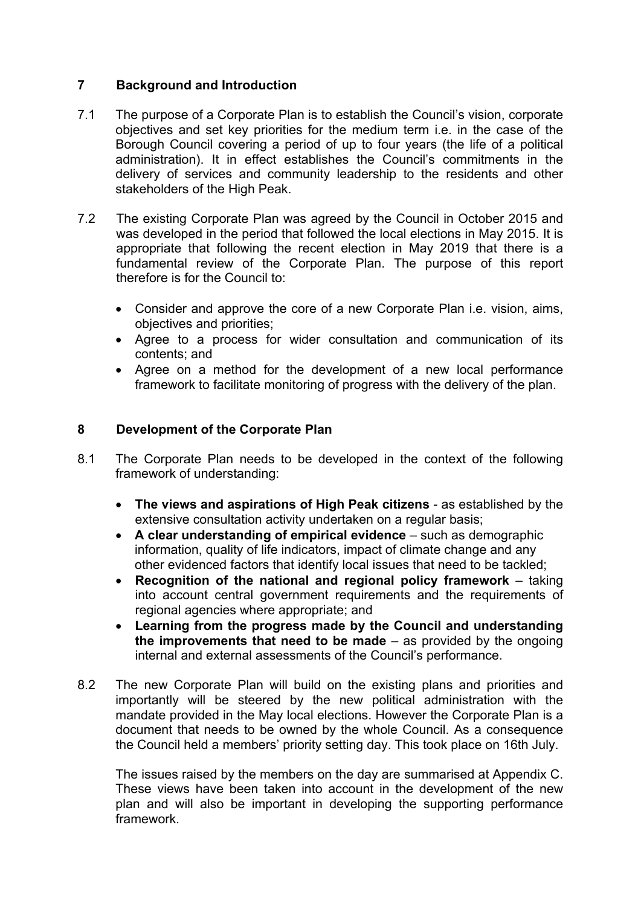# **7 Background and Introduction**

- 7.1 The purpose of a Corporate Plan is to establish the Council's vision, corporate objectives and set key priorities for the medium term i.e. in the case of the Borough Council covering a period of up to four years (the life of a political administration). It in effect establishes the Council's commitments in the delivery of services and community leadership to the residents and other stakeholders of the High Peak.
- 7.2 The existing Corporate Plan was agreed by the Council in October 2015 and was developed in the period that followed the local elections in May 2015. It is appropriate that following the recent election in May 2019 that there is a fundamental review of the Corporate Plan. The purpose of this report therefore is for the Council to:
	- Consider and approve the core of a new Corporate Plan i.e. vision, aims, objectives and priorities;
	- Agree to a process for wider consultation and communication of its contents; and
	- Agree on a method for the development of a new local performance framework to facilitate monitoring of progress with the delivery of the plan.

# **8 Development of the Corporate Plan**

- 8.1 The Corporate Plan needs to be developed in the context of the following framework of understanding:
	- **The views and aspirations of High Peak citizens** as established by the extensive consultation activity undertaken on a regular basis;
	- **A clear understanding of empirical evidence** such as demographic information, quality of life indicators, impact of climate change and any other evidenced factors that identify local issues that need to be tackled;
	- **Recognition of the national and regional policy framework** taking into account central government requirements and the requirements of regional agencies where appropriate; and
	- **Learning from the progress made by the Council and understanding the improvements that need to be made** – as provided by the ongoing internal and external assessments of the Council's performance.
- 8.2 The new Corporate Plan will build on the existing plans and priorities and importantly will be steered by the new political administration with the mandate provided in the May local elections. However the Corporate Plan is a document that needs to be owned by the whole Council. As a consequence the Council held a members' priority setting day. This took place on 16th July.

The issues raised by the members on the day are summarised at Appendix C. These views have been taken into account in the development of the new plan and will also be important in developing the supporting performance framework.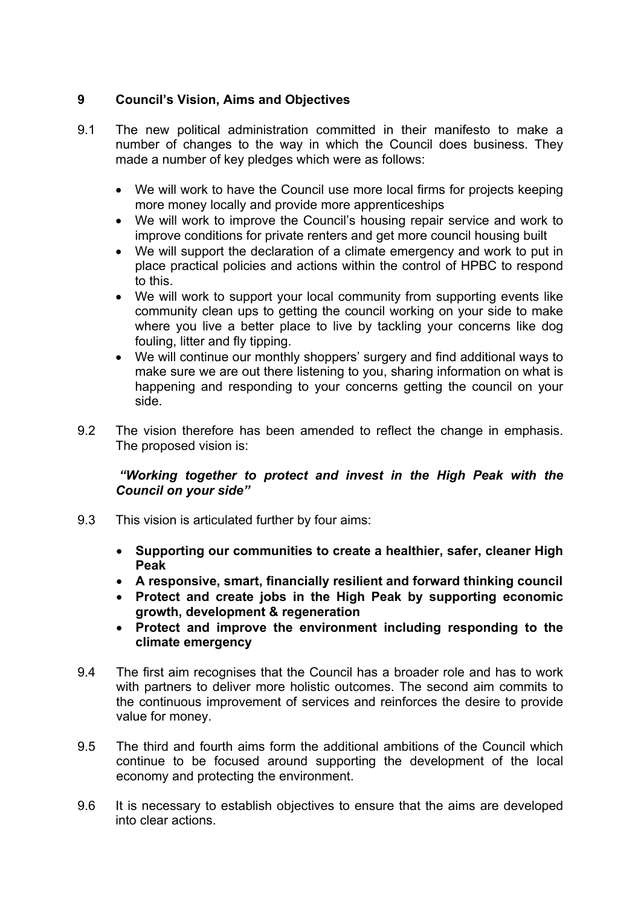# **9 Council's Vision, Aims and Objectives**

- 9.1 The new political administration committed in their manifesto to make a number of changes to the way in which the Council does business. They made a number of key pledges which were as follows:
	- We will work to have the Council use more local firms for projects keeping more money locally and provide more apprenticeships
	- We will work to improve the Council's housing repair service and work to improve conditions for private renters and get more council housing built
	- We will support the declaration of a climate emergency and work to put in place practical policies and actions within the control of HPBC to respond to this.
	- We will work to support your local community from supporting events like community clean ups to getting the council working on your side to make where you live a better place to live by tackling your concerns like dog fouling, litter and fly tipping.
	- We will continue our monthly shoppers' surgery and find additional ways to make sure we are out there listening to you, sharing information on what is happening and responding to your concerns getting the council on your side.
- 9.2 The vision therefore has been amended to reflect the change in emphasis. The proposed vision is:

# *"Working together to protect and invest in the High Peak with the Council on your side"*

- 9.3 This vision is articulated further by four aims:
	- **Supporting our communities to create a healthier, safer, cleaner High Peak**
	- **A responsive, smart, financially resilient and forward thinking council**
	- **Protect and create jobs in the High Peak by supporting economic growth, development & regeneration**
	- **Protect and improve the environment including responding to the climate emergency**
- 9.4 The first aim recognises that the Council has a broader role and has to work with partners to deliver more holistic outcomes. The second aim commits to the continuous improvement of services and reinforces the desire to provide value for money.
- 9.5 The third and fourth aims form the additional ambitions of the Council which continue to be focused around supporting the development of the local economy and protecting the environment.
- 9.6 It is necessary to establish objectives to ensure that the aims are developed into clear actions.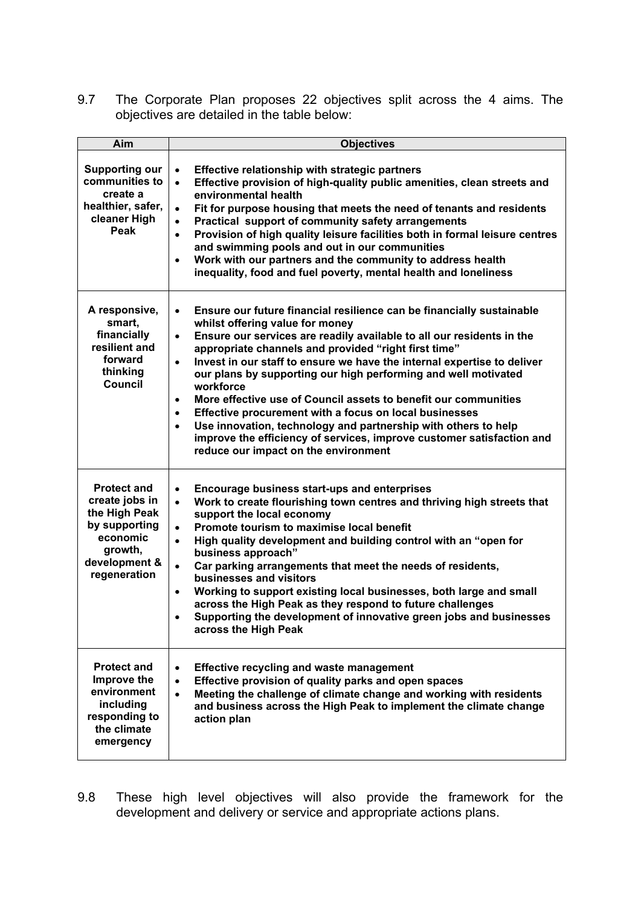9.7 The Corporate Plan proposes 22 objectives split across the 4 aims. The objectives are detailed in the table below:

| Aim                                                                                                                            | <b>Objectives</b>                                                                                                                                                                                                                                                                                                                                                                                                                                                                                                                                                                                                                                                                                                                                                                                 |
|--------------------------------------------------------------------------------------------------------------------------------|---------------------------------------------------------------------------------------------------------------------------------------------------------------------------------------------------------------------------------------------------------------------------------------------------------------------------------------------------------------------------------------------------------------------------------------------------------------------------------------------------------------------------------------------------------------------------------------------------------------------------------------------------------------------------------------------------------------------------------------------------------------------------------------------------|
| <b>Supporting our</b><br>communities to<br>create a<br>healthier, safer,<br>cleaner High<br>Peak                               | Effective relationship with strategic partners<br>$\bullet$<br>Effective provision of high-quality public amenities, clean streets and<br>$\bullet$<br>environmental health<br>Fit for purpose housing that meets the need of tenants and residents<br>$\bullet$<br>Practical support of community safety arrangements<br>$\bullet$<br>Provision of high quality leisure facilities both in formal leisure centres<br>$\bullet$<br>and swimming pools and out in our communities<br>Work with our partners and the community to address health<br>$\bullet$<br>inequality, food and fuel poverty, mental health and loneliness                                                                                                                                                                    |
| A responsive,<br>smart,<br>financially<br>resilient and<br>forward<br>thinking<br><b>Council</b>                               | Ensure our future financial resilience can be financially sustainable<br>$\bullet$<br>whilst offering value for money<br>Ensure our services are readily available to all our residents in the<br>$\bullet$<br>appropriate channels and provided "right first time"<br>Invest in our staff to ensure we have the internal expertise to deliver<br>$\bullet$<br>our plans by supporting our high performing and well motivated<br>workforce<br>More effective use of Council assets to benefit our communities<br>$\bullet$<br>Effective procurement with a focus on local businesses<br>$\bullet$<br>Use innovation, technology and partnership with others to help<br>$\bullet$<br>improve the efficiency of services, improve customer satisfaction and<br>reduce our impact on the environment |
| <b>Protect and</b><br>create jobs in<br>the High Peak<br>by supporting<br>economic<br>growth,<br>development &<br>regeneration | Encourage business start-ups and enterprises<br>$\bullet$<br>Work to create flourishing town centres and thriving high streets that<br>$\bullet$<br>support the local economy<br>Promote tourism to maximise local benefit<br>$\bullet$<br>High quality development and building control with an "open for<br>$\bullet$<br>business approach"<br>Car parking arrangements that meet the needs of residents,<br>$\bullet$<br>businesses and visitors<br>Working to support existing local businesses, both large and small<br>$\bullet$<br>across the High Peak as they respond to future challenges<br>Supporting the development of innovative green jobs and businesses<br>across the High Peak                                                                                                 |
| <b>Protect and</b><br>Improve the<br>environment<br>including<br>responding to<br>the climate<br>emergency                     | <b>Effective recycling and waste management</b><br>$\bullet$<br>Effective provision of quality parks and open spaces<br>$\bullet$<br>Meeting the challenge of climate change and working with residents<br>$\bullet$<br>and business across the High Peak to implement the climate change<br>action plan                                                                                                                                                                                                                                                                                                                                                                                                                                                                                          |

9.8 These high level objectives will also provide the framework for the development and delivery or service and appropriate actions plans.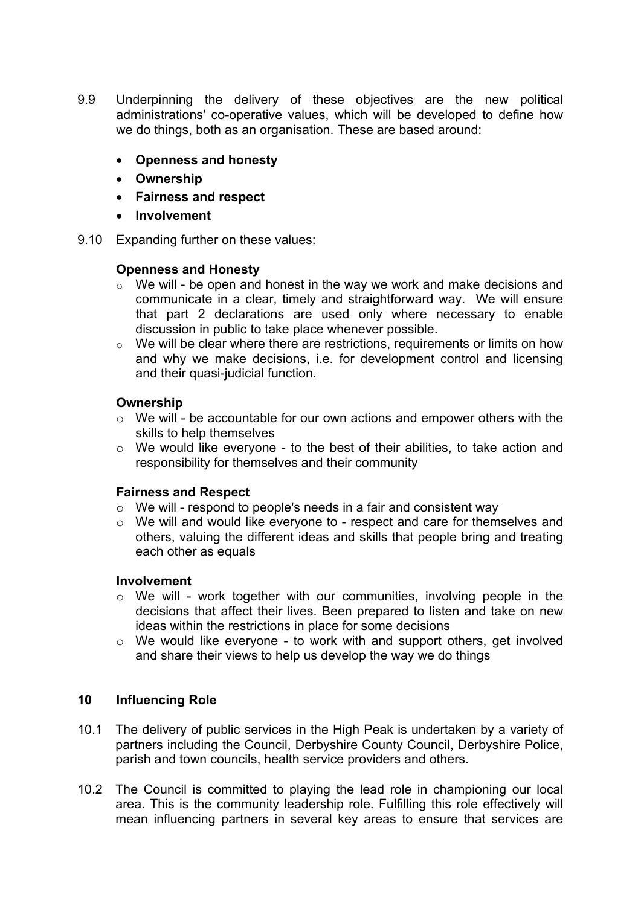- 9.9 Underpinning the delivery of these objectives are the new political administrations' co-operative values, which will be developed to define how we do things, both as an organisation. These are based around:
	- **Openness and honesty**
	- **Ownership**
	- **Fairness and respect**
	- **Involvement**
- 9.10 Expanding further on these values:

### **Openness and Honesty**

- $\circ$  We will be open and honest in the way we work and make decisions and communicate in a clear, timely and straightforward way. We will ensure that part 2 declarations are used only where necessary to enable discussion in public to take place whenever possible.
- o We will be clear where there are restrictions, requirements or limits on how and why we make decisions, i.e. for development control and licensing and their quasi-judicial function.

### **Ownership**

- o We will be accountable for our own actions and empower others with the skills to help themselves
- o We would like everyone to the best of their abilities, to take action and responsibility for themselves and their community

#### **Fairness and Respect**

- $\circ$  We will respond to people's needs in a fair and consistent way
- o We will and would like everyone to respect and care for themselves and others, valuing the different ideas and skills that people bring and treating each other as equals

#### **Involvement**

- $\circ$  We will work together with our communities, involving people in the decisions that affect their lives. Been prepared to listen and take on new ideas within the restrictions in place for some decisions
- o We would like everyone to work with and support others, get involved and share their views to help us develop the way we do things

## **10 Influencing Role**

- 10.1 The delivery of public services in the High Peak is undertaken by a variety of partners including the Council, Derbyshire County Council, Derbyshire Police, parish and town councils, health service providers and others.
- 10.2 The Council is committed to playing the lead role in championing our local area. This is the community leadership role. Fulfilling this role effectively will mean influencing partners in several key areas to ensure that services are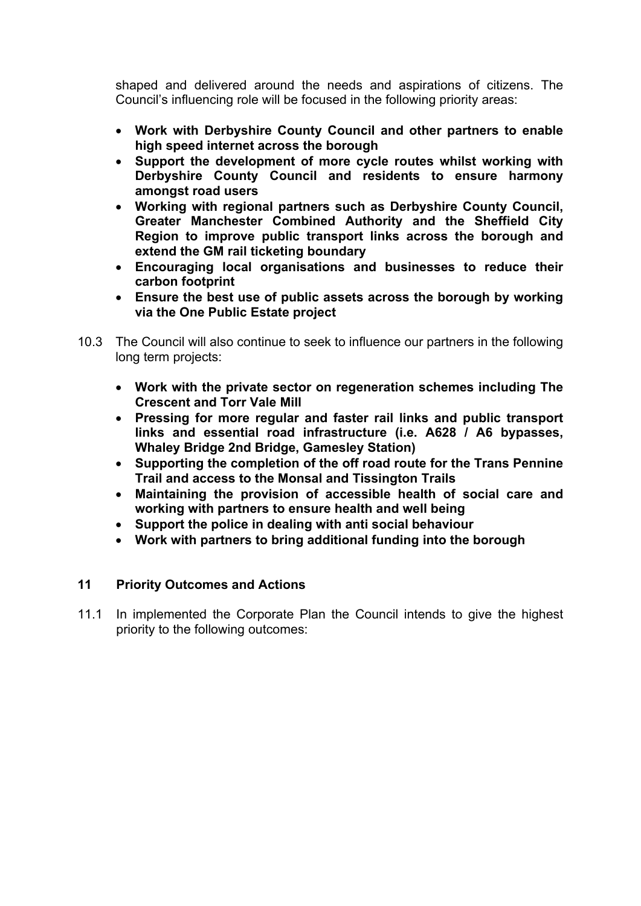shaped and delivered around the needs and aspirations of citizens. The Council's influencing role will be focused in the following priority areas:

- **Work with Derbyshire County Council and other partners to enable high speed internet across the borough**
- **Support the development of more cycle routes whilst working with Derbyshire County Council and residents to ensure harmony amongst road users**
- **Working with regional partners such as Derbyshire County Council, Greater Manchester Combined Authority and the Sheffield City Region to improve public transport links across the borough and extend the GM rail ticketing boundary**
- **Encouraging local organisations and businesses to reduce their carbon footprint**
- **Ensure the best use of public assets across the borough by working via the One Public Estate project**
- 10.3 The Council will also continue to seek to influence our partners in the following long term projects:
	- **Work with the private sector on regeneration schemes including The Crescent and Torr Vale Mill**
	- **Pressing for more regular and faster rail links and public transport links and essential road infrastructure (i.e. A628 / A6 bypasses, Whaley Bridge 2nd Bridge, Gamesley Station)**
	- **Supporting the completion of the off road route for the Trans Pennine Trail and access to the Monsal and Tissington Trails**
	- **Maintaining the provision of accessible health of social care and working with partners to ensure health and well being**
	- **Support the police in dealing with anti social behaviour**
	- **Work with partners to bring additional funding into the borough**

## **11 Priority Outcomes and Actions**

11.1 In implemented the Corporate Plan the Council intends to give the highest priority to the following outcomes: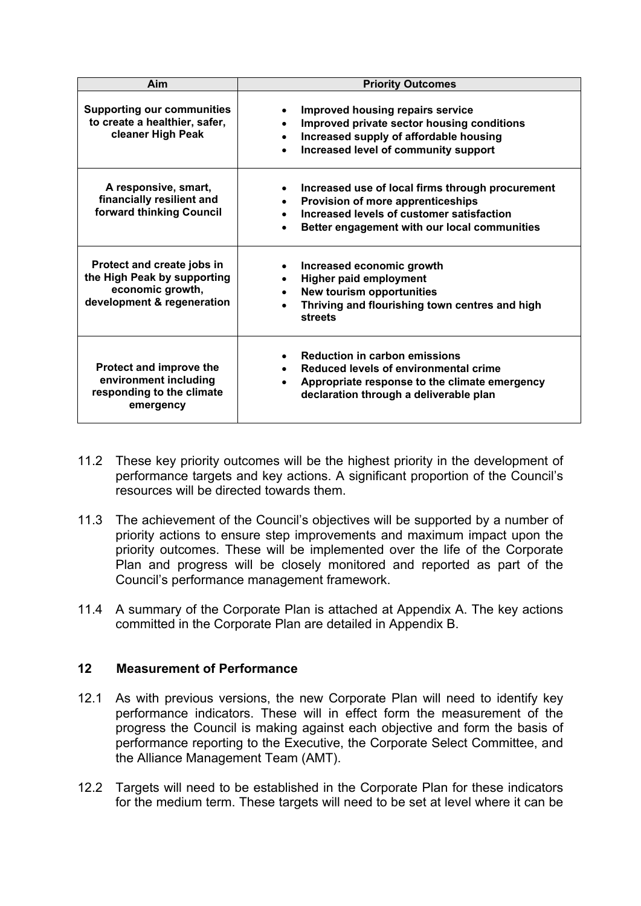| Aim                                                                                                         | <b>Priority Outcomes</b>                                                                                                                                                           |
|-------------------------------------------------------------------------------------------------------------|------------------------------------------------------------------------------------------------------------------------------------------------------------------------------------|
| <b>Supporting our communities</b><br>to create a healthier, safer,<br>cleaner High Peak                     | <b>Improved housing repairs service</b><br>٠<br>Improved private sector housing conditions<br>Increased supply of affordable housing<br>Increased level of community support       |
| A responsive, smart,<br>financially resilient and<br>forward thinking Council                               | Increased use of local firms through procurement<br>Provision of more apprenticeships<br>Increased levels of customer satisfaction<br>Better engagement with our local communities |
| Protect and create jobs in<br>the High Peak by supporting<br>economic growth,<br>development & regeneration | Increased economic growth<br><b>Higher paid employment</b><br><b>New tourism opportunities</b><br>Thriving and flourishing town centres and high<br><b>streets</b>                 |
| Protect and improve the<br>environment including<br>responding to the climate<br>emergency                  | <b>Reduction in carbon emissions</b><br>Reduced levels of environmental crime<br>Appropriate response to the climate emergency<br>declaration through a deliverable plan           |

- 11.2 These key priority outcomes will be the highest priority in the development of performance targets and key actions. A significant proportion of the Council's resources will be directed towards them.
- 11.3 The achievement of the Council's objectives will be supported by a number of priority actions to ensure step improvements and maximum impact upon the priority outcomes. These will be implemented over the life of the Corporate Plan and progress will be closely monitored and reported as part of the Council's performance management framework.
- 11.4 A summary of the Corporate Plan is attached at Appendix A. The key actions committed in the Corporate Plan are detailed in Appendix B.

## **12 Measurement of Performance**

- 12.1 As with previous versions, the new Corporate Plan will need to identify key performance indicators. These will in effect form the measurement of the progress the Council is making against each objective and form the basis of performance reporting to the Executive, the Corporate Select Committee, and the Alliance Management Team (AMT).
- 12.2 Targets will need to be established in the Corporate Plan for these indicators for the medium term. These targets will need to be set at level where it can be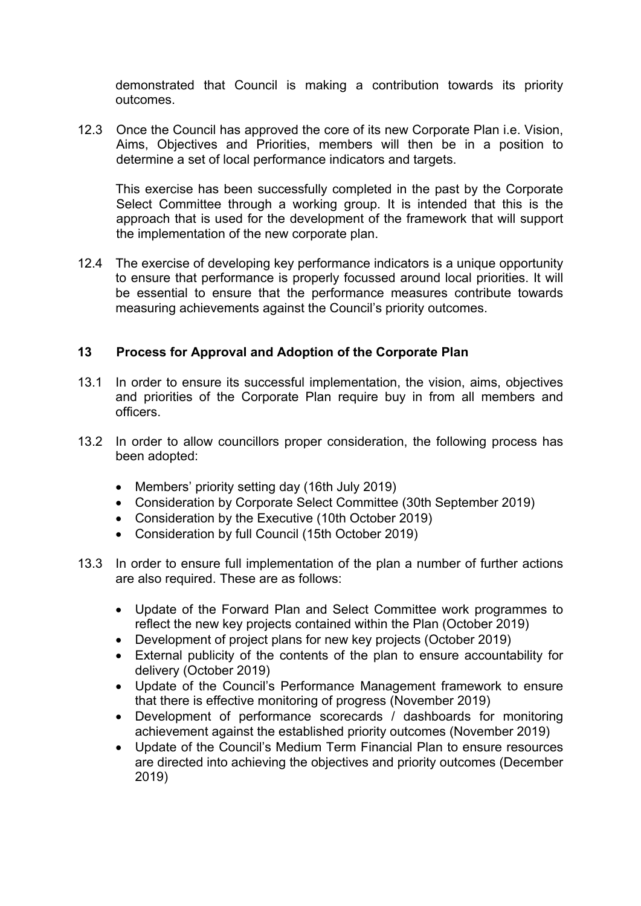demonstrated that Council is making a contribution towards its priority outcomes.

12.3 Once the Council has approved the core of its new Corporate Plan i.e. Vision, Aims, Objectives and Priorities, members will then be in a position to determine a set of local performance indicators and targets.

This exercise has been successfully completed in the past by the Corporate Select Committee through a working group. It is intended that this is the approach that is used for the development of the framework that will support the implementation of the new corporate plan.

12.4 The exercise of developing key performance indicators is a unique opportunity to ensure that performance is properly focussed around local priorities. It will be essential to ensure that the performance measures contribute towards measuring achievements against the Council's priority outcomes.

## **13 Process for Approval and Adoption of the Corporate Plan**

- 13.1 In order to ensure its successful implementation, the vision, aims, objectives and priorities of the Corporate Plan require buy in from all members and officers.
- 13.2 In order to allow councillors proper consideration, the following process has been adopted:
	- Members' priority setting day (16th July 2019)
	- Consideration by Corporate Select Committee (30th September 2019)
	- Consideration by the Executive (10th October 2019)
	- Consideration by full Council (15th October 2019)
- 13.3 In order to ensure full implementation of the plan a number of further actions are also required. These are as follows:
	- Update of the Forward Plan and Select Committee work programmes to reflect the new key projects contained within the Plan (October 2019)
	- Development of project plans for new key projects (October 2019)
	- External publicity of the contents of the plan to ensure accountability for delivery (October 2019)
	- Update of the Council's Performance Management framework to ensure that there is effective monitoring of progress (November 2019)
	- Development of performance scorecards / dashboards for monitoring achievement against the established priority outcomes (November 2019)
	- Update of the Council's Medium Term Financial Plan to ensure resources are directed into achieving the objectives and priority outcomes (December 2019)